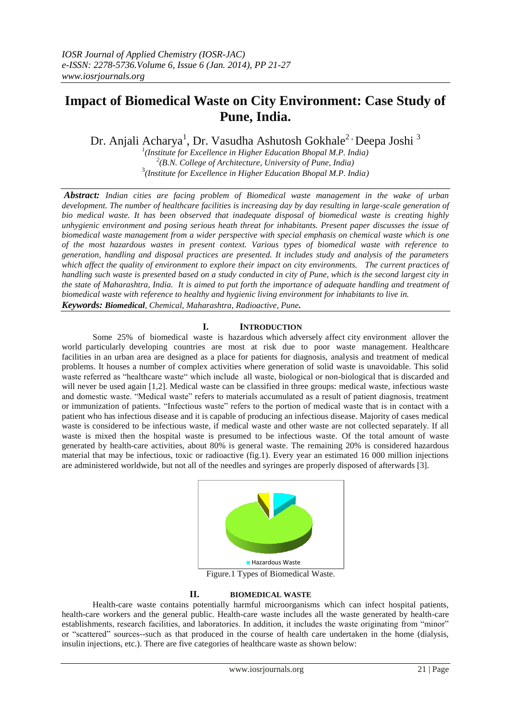# **Impact of Biomedical Waste on City Environment: Case Study of Pune, India.**

Dr. Anjali Acharya<sup>1</sup>, Dr. Vasudha Ashutosh Gokhale<sup>2,</sup> Deepa Joshi<sup>3</sup>

*1 (Institute for Excellence in Higher Education Bhopal M.P. India) 2 (B.N. College of Architecture, University of Pune, India)* 3 *(Institute for Excellence in Higher Education Bhopal M.P. India)*

*Abstract: Indian cities are facing problem of Biomedical waste management in the wake of urban development. The number of healthcare facilities is increasing day by day resulting in large-scale generation of bio medical waste. It has been observed that inadequate disposal of biomedical waste is creating highly unhygienic environment and posing serious heath threat for inhabitants. Present paper discusses the issue of biomedical waste management from a wider perspective with special emphasis on chemical waste which is one of the most hazardous wastes in present context. Various types of biomedical waste with reference to generation, handling and disposal practices are presented. It includes study and analysis of the parameters which affect the quality of environment to explore their impact on city environments. The current practices of handling such waste is presented based on a study conducted in city of Pune, which is the second largest city in the state of Maharashtra, India. It is aimed to put forth the importance of adequate handling and treatment of biomedical waste with reference to healthy and hygienic living environment for inhabitants to live in. Keywords: Biomedical, Chemical, Maharashtra, Radioactive, Pune.*

## **I. INTRODUCTION**

Some 25% of biomedical waste is hazardous which adversely affect city environment allover the world particularly developing countries are most at risk due to poor waste management. Healthcare facilities in an urban area are designed as a place for patients for diagnosis, analysis and treatment of medical problems. It houses a number of complex activities where generation of solid waste is unavoidable. This solid waste referred as "healthcare waste" which include all waste, biological or non-biological that is discarded and will never be used again [1,2]. Medical waste can be classified in three groups: medical waste, infectious waste and domestic waste. "Medical waste" refers to materials accumulated as a result of patient diagnosis, treatment or immunization of patients. "Infectious waste" refers to the portion of medical waste that is in contact with a patient who has infectious disease and it is capable of producing an infectious disease. Majority of cases medical waste is considered to be infectious waste, if medical waste and other waste are not collected separately. If all waste is mixed then the hospital waste is presumed to be infectious waste. Of the total amount of waste generated by health-care activities, about 80% is general waste. The remaining 20% is considered hazardous material that may be infectious, toxic or radioactive (fig.1). Every year an estimated 16 000 million injections are administered worldwide, but not all of the needles and syringes are properly disposed of afterwards [3].



Figure.1 Types of Biomedical Waste.

#### **II. BIOMEDICAL WASTE**

Health-care waste contains potentially harmful microorganisms which can infect hospital patients, health-care workers and the general public. Health-care waste includes all the waste generated by health-care establishments, research facilities, and laboratories. In addition, it includes the waste originating from "minor" or "scattered" sources--such as that produced in the course of health care undertaken in the home (dialysis, insulin injections, etc.). There are five categories of healthcare waste as shown below: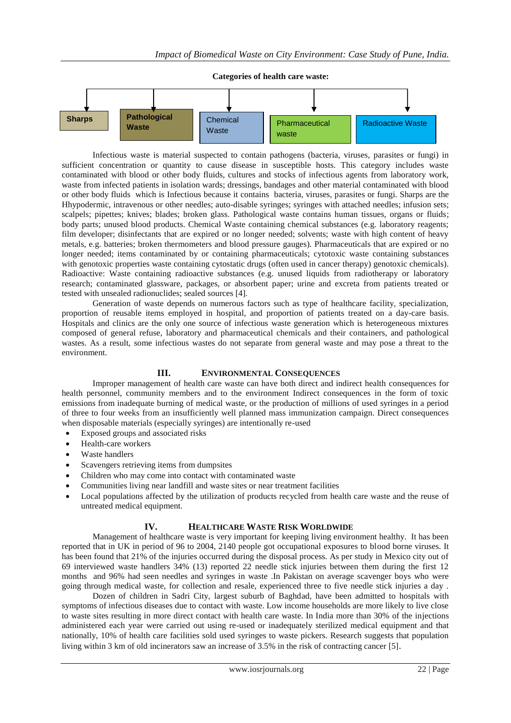

Infectious waste is material suspected to contain pathogens (bacteria, viruses, parasites or fungi) in sufficient concentration or quantity to cause disease in susceptible hosts. This category includes waste contaminated with blood or other body fluids, cultures and stocks of infectious agents from laboratory work, waste from infected patients in isolation wards; dressings, bandages and other material contaminated with blood or other body fluids which is Infectious because it contains bacteria, viruses, parasites or fungi. Sharps are the Hhypodermic, intravenous or other needles; auto-disable syringes; syringes with attached needles; infusion sets; scalpels; pipettes; knives; blades; broken glass. Pathological waste contains human tissues, organs or fluids; body parts; unused blood products. Chemical Waste containing chemical substances (e.g. laboratory reagents; film developer; disinfectants that are expired or no longer needed; solvents; waste with high content of heavy metals, e.g. batteries; broken thermometers and blood pressure gauges). Pharmaceuticals that are expired or no longer needed; items contaminated by or containing pharmaceuticals; cytotoxic waste containing substances with genotoxic properties waste containing cytostatic drugs (often used in cancer therapy) genotoxic chemicals). Radioactive: Waste containing radioactive substances (e.g. unused liquids from radiotherapy or laboratory research; contaminated glassware, packages, or absorbent paper; urine and excreta from patients treated or tested with unsealed radionuclides; sealed sources [4].

Generation of waste depends on numerous factors such as type of healthcare facility, specialization, proportion of reusable items employed in hospital, and proportion of patients treated on a day-care basis. Hospitals and clinics are the only one source of infectious waste generation which is heterogeneous mixtures composed of general refuse, laboratory and pharmaceutical chemicals and their containers, and pathological wastes. As a result, some infectious wastes do not separate from general waste and may pose a threat to the environment.

#### **III. ENVIRONMENTAL CONSEQUENCES**

Improper management of health care waste can have both direct and indirect health consequences for health personnel, community members and to the environment Indirect consequences in the form of toxic emissions from inadequate burning of medical waste, or the production of millions of used syringes in a period of three to four weeks from an insufficiently well planned mass immunization campaign. Direct consequences when disposable materials (especially syringes) are intentionally re-used

- Exposed groups and associated risks
- Health-care workers
- Waste handlers
- Scavengers retrieving items from dumpsites
- Children who may come into contact with contaminated waste
- Communities living near landfill and waste sites or near treatment facilities
- Local populations affected by the utilization of products recycled from health care waste and the reuse of untreated medical equipment.

## **IV. HEALTHCARE WASTE RISK WORLDWIDE**

Management of healthcare waste is very important for keeping living environment healthy. It has been reported that in UK in period of 96 to 2004, 2140 people got occupational exposures to blood borne viruses. It has been found that 21% of the injuries occurred during the disposal process. As per study in Mexico city out of 69 interviewed waste handlers 34% (13) reported 22 needle stick injuries between them during the first 12 months and 96% had seen needles and syringes in waste .In Pakistan on average scavenger boys who were going through medical waste, for collection and resale, experienced three to five needle stick injuries a day .

Dozen of children in Sadri City, largest suburb of Baghdad, have been admitted to hospitals with symptoms of infectious diseases due to contact with waste. Low income households are more likely to live close to waste sites resulting in more direct contact with health care waste. In India more than 30% of the injections administered each year were carried out using re-used or inadequately sterilized medical equipment and that nationally, 10% of health care facilities sold used syringes to waste pickers. Research suggests that population living within 3 km of old incinerators saw an increase of 3.5% in the risk of contracting cancer [5]*.*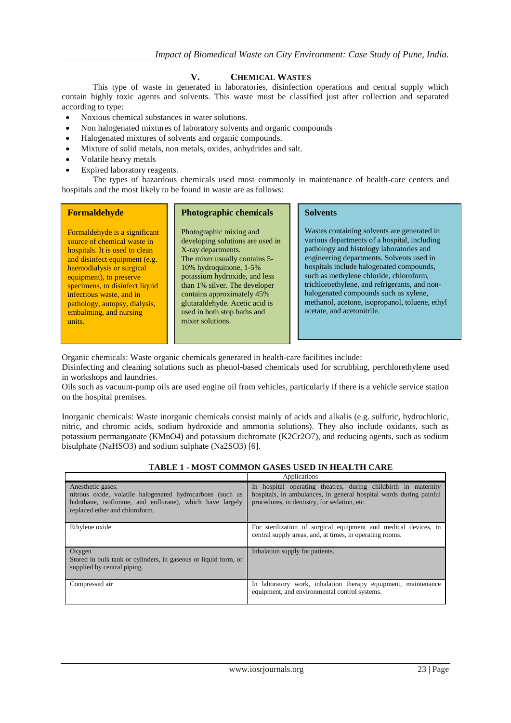# **V. CHEMICAL WASTES**

This type of waste in generated in laboratories, disinfection operations and central supply which contain highly toxic agents and solvents. This waste must be classified just after collection and separated according to type:

- Noxious chemical substances in water solutions.
- Non halogenated mixtures of laboratory solvents and organic compounds
- Halogenated mixtures of solvents and organic compounds.
- Mixture of solid metals, non metals, oxides, anhydrides and salt.
- Volatile heavy metals
- Expired laboratory reagents.

The types of hazardous chemicals used most commonly in maintenance of health-care centers and hospitals and the most likely to be found in waste are as follows:

| <b>Formaldehyde</b>                                                                                                                                                                                                                                                                                                        | <b>Photographic chemicals</b>                                                                                                                                                                                                                                                                                                     | <b>Solvents</b>                                                                                                                                                                                                                                                                                                                                                                                                                                       |
|----------------------------------------------------------------------------------------------------------------------------------------------------------------------------------------------------------------------------------------------------------------------------------------------------------------------------|-----------------------------------------------------------------------------------------------------------------------------------------------------------------------------------------------------------------------------------------------------------------------------------------------------------------------------------|-------------------------------------------------------------------------------------------------------------------------------------------------------------------------------------------------------------------------------------------------------------------------------------------------------------------------------------------------------------------------------------------------------------------------------------------------------|
| Formaldehyde is a significant<br>source of chemical waste in<br>hospitals. It is used to clean<br>and disinfect equipment (e.g.<br>haemodialysis or surgical<br>equipment), to preserve<br>specimens, to disinfect liquid<br>infectious waste, and in<br>pathology, autopsy, dialysis,<br>embalming, and nursing<br>units. | Photographic mixing and<br>developing solutions are used in<br>X-ray departments.<br>The mixer usually contains 5-<br>10% hydroquinone, 1-5%<br>potassium hydroxide, and less<br>than 1% silver. The developer<br>contains approximately 45%<br>glutaraldehyde. Acetic acid is<br>used in both stop baths and<br>mixer solutions. | Wastes containing solvents are generated in<br>various departments of a hospital, including<br>pathology and histology laboratories and<br>engineering departments. Solvents used in<br>hospitals include halogenated compounds,<br>such as methylene chloride, chloroform,<br>trichloroethylene, and refrigerants, and non-<br>halogenated compounds such as xylene,<br>methanol, acetone, isopropanol, toluene, ethyl<br>acetate, and acetonitrile. |

Organic chemicals: Waste organic chemicals generated in health-care facilities include:

Disinfecting and cleaning solutions such as phenol-based chemicals used for scrubbing, perchlorethylene used in workshops and laundries.

Oils such as vacuum-pump oils are used engine oil from vehicles, particularly if there is a vehicle service station on the hospital premises.

Inorganic chemicals: Waste inorganic chemicals consist mainly of acids and alkalis (e.g. sulfuric, hydrochloric, nitric, and chromic acids, sodium hydroxide and ammonia solutions). They also include oxidants, such as potassium permanganate (KMnO4) and potassium dichromate (K2Cr2O7), and reducing agents, such as sodium bisulphate (NaHSO3) and sodium sulphate (Na2SO3) [6].

|                                                                                                                                                                               | Applications—                                                                                                                                                                        |
|-------------------------------------------------------------------------------------------------------------------------------------------------------------------------------|--------------------------------------------------------------------------------------------------------------------------------------------------------------------------------------|
| Anesthetic gases:<br>nitrous oxide, volatile halogenated hydrocarbons (such as<br>halothane, isoflurane, and enflurane), which have largely<br>replaced ether and chloroform. | In hospital operating theatres, during childbirth in maternity<br>hospitals, in ambulances, in general hospital wards during painful<br>procedures, in dentistry, for sedation, etc. |
| Ethylene oxide                                                                                                                                                                | For sterilization of surgical equipment and medical devices, in<br>central supply areas, and, at times, in operating rooms.                                                          |
| Oxygen<br>Stored in bulk tank or cylinders, in gaseous or liquid form, or<br>supplied by central piping.                                                                      | Inhalation supply for patients.                                                                                                                                                      |
| Compressed air                                                                                                                                                                | In laboratory work, inhalation therapy equipment, maintenance<br>equipment, and environmental control systems.                                                                       |

#### **TABLE 1 - MOST COMMON GASES USED IN HEALTH CARE**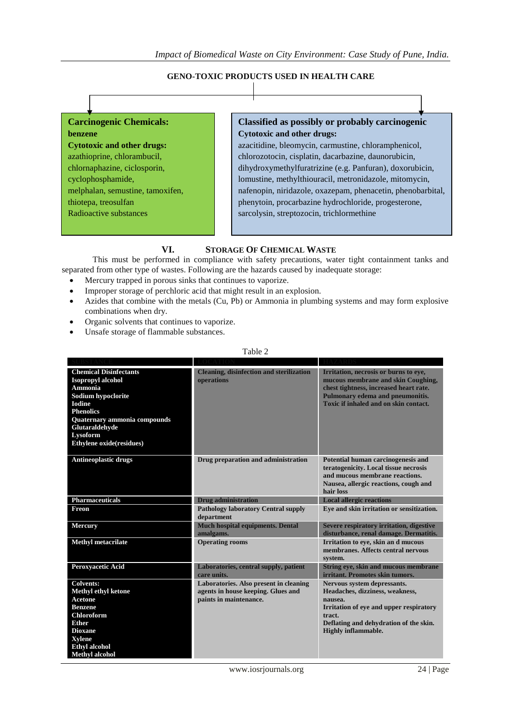#### **GENO-TOXIC PRODUCTS USED IN HEALTH CARE**



## **VI. STORAGE OF CHEMICAL WASTE**

This must be performed in compliance with safety precautions, water tight containment tanks and separated from other type of wastes. Following are the hazards caused by inadequate storage:

- Mercury trapped in porous sinks that continues to vaporize.
- Improper storage of perchloric acid that might result in an explosion.
- Azides that combine with the metals (Cu, Pb) or Ammonia in plumbing systems and may form explosive combinations when dry.
- Organic solvents that continues to vaporize.
- Unsafe storage of flammable substances.

#### Table 2

| <b>Chemical Disinfectants</b><br><b>Isopropyl alcohol</b><br>Ammonia<br>Sodium hypoclorite<br><b>Iodine</b><br><b>Phenolics</b><br>Quaternary ammonia compounds<br>Glutaraldehyde<br>Lysoform<br>Ethylene oxide(residues) | <b>Cleaning, disinfection and sterilization</b><br>operations                                          | Irritation, necrosis or burns to eye,<br>mucous membrane and skin Coughing,<br>chest tightness, increased heart rate.<br>Pulmonary edema and pneumonitis.<br>Toxic if inhaled and on skin contact.     |
|---------------------------------------------------------------------------------------------------------------------------------------------------------------------------------------------------------------------------|--------------------------------------------------------------------------------------------------------|--------------------------------------------------------------------------------------------------------------------------------------------------------------------------------------------------------|
| <b>Antineoplastic drugs</b>                                                                                                                                                                                               | Drug preparation and administration                                                                    | Potential human carcinogenesis and<br>teratogenicity. Local tissue necrosis<br>and mucous membrane reactions.<br>Nausea, allergic reactions, cough and<br>hair loss                                    |
| <b>Pharmaceuticals</b>                                                                                                                                                                                                    | <b>Drug administration</b>                                                                             | <b>Local allergic reactions</b>                                                                                                                                                                        |
| Freon                                                                                                                                                                                                                     | <b>Pathology laboratory Central supply</b><br>department                                               | Eve and skin irritation or sensitization.                                                                                                                                                              |
| <b>Mercury</b>                                                                                                                                                                                                            | <b>Much hospital equipments. Dental</b><br>amalgams.                                                   | <b>Severe respiratory irritation, digestive</b><br>disturbance, renal damage. Dermatitis.                                                                                                              |
| <b>Methyl metacrilate</b>                                                                                                                                                                                                 | <b>Operating rooms</b>                                                                                 | Irritation to eve, skin an d mucous<br>membranes. Affects central nervous<br>system.                                                                                                                   |
| Peroxyacetic Acid                                                                                                                                                                                                         | Laboratories, central supply, patient<br>care units.                                                   | String eye, skin and mucous membrane<br>irritant. Promotes skin tumors.                                                                                                                                |
| <b>Colvents:</b><br><b>Methyl ethyl ketone</b><br><b>Acetone</b><br><b>Benzene</b><br><b>Chloroform</b><br><b>Ether</b><br><b>Dioxane</b><br><b>Xylene</b><br><b>Ethyl alcohol</b><br><b>Methyl</b> alcohol               | Laboratories. Also present in cleaning<br>agents in house keeping. Glues and<br>paints in maintenance. | Nervous system depressants.<br>Headaches, dizziness, weakness,<br>nausea.<br>Irritation of eve and upper respiratory<br>tract.<br>Deflating and dehydration of the skin.<br><b>Highly inflammable.</b> |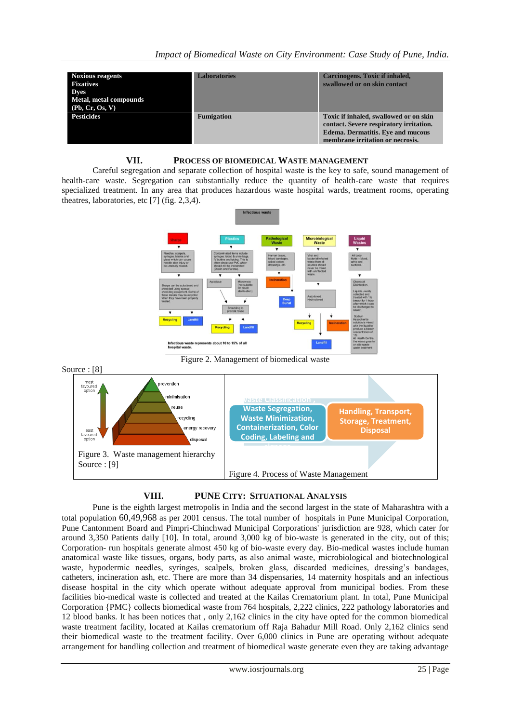| <b>Noxious reagents</b><br><b>Fixatives</b><br><b>Dyes</b><br>Metal, metal compounds<br>(Pb, Cr, Os, V) | <b>Laboratories</b> | Carcinogens. Toxic if inhaled,<br>swallowed or on skin contact                                                                                                    |
|---------------------------------------------------------------------------------------------------------|---------------------|-------------------------------------------------------------------------------------------------------------------------------------------------------------------|
| <b>Pesticides</b>                                                                                       | <b>Fumigation</b>   | Toxic if inhaled, swallowed or on skin<br>contact. Severe respiratory irritation.<br><b>Edema. Dermatitis. Eye and mucous</b><br>membrane irritation or necrosis. |

#### **VII. PROCESS OF BIOMEDICAL WASTE MANAGEMENT**

Careful segregation and separate collection of hospital waste is the key to safe, sound management of health-care waste. Segregation can substantially reduce the quantity of health-care waste that requires specialized treatment. In any area that produces hazardous waste hospital wards, treatment rooms, operating theatres, laboratories, etc [7] (fig. 2,3,4).



Figure 2. Management of biomedical waste



# **VIII. PUNE CITY: SITUATIONAL ANALYSIS**

Pune is the eighth largest metropolis in India and the second largest in the state of Maharashtra with a total population 60,49,968 as per 2001 census. The total number of hospitals in Pune Municipal Corporation, Pune Cantonment Board and Pimpri-Chinchwad Municipal Corporations' jurisdiction are 928, which cater for around 3,350 Patients daily [10]. In total, around 3,000 kg of bio-waste is generated in the city, out of this; Corporation- run hospitals generate almost 450 kg of bio-waste every day. Bio-medical wastes include human anatomical waste like tissues, organs, body parts, as also animal waste, microbiological and biotechnological waste, hypodermic needles, syringes, scalpels, broken glass, discarded medicines, dressing's bandages, catheters, incineration ash, etc. There are more than 34 dispensaries, 14 maternity hospitals and an infectious disease hospital in the city which operate without adequate approval from municipal bodies. From these facilities bio-medical waste is collected and treated at the Kailas Crematorium plant. In total, Pune Municipal Corporation {PMC} collects biomedical waste from 764 hospitals, 2,222 clinics, 222 pathology laboratories and 12 blood banks. It has been notices that , only 2,162 clinics in the city have opted for the common biomedical waste treatment facility, located at Kailas crematorium off Raja Bahadur Mill Road. Only 2,162 clinics send their biomedical waste to the treatment facility. Over 6,000 clinics in Pune are operating without adequate arrangement for handling collection and treatment of biomedical waste generate even they are taking advantage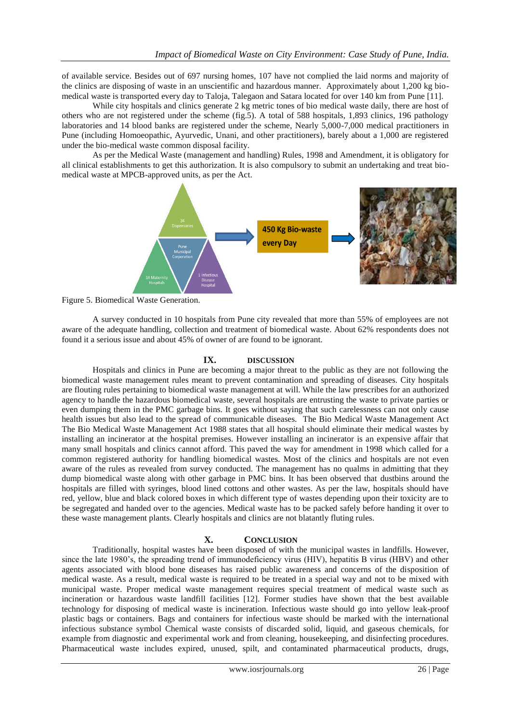of available service. Besides out of 697 nursing homes, 107 have not complied the laid norms and majority of the clinics are disposing of waste in an unscientific and hazardous manner. Approximately about 1,200 kg biomedical waste is transported every day to Taloja, Talegaon and Satara located for over 140 km from Pune [11].

While city hospitals and clinics generate 2 kg metric tones of bio medical waste daily, there are host of others who are not registered under the scheme (fig.5). A total of 588 hospitals, 1,893 clinics, 196 pathology laboratories and 14 blood banks are registered under the scheme, Nearly 5,000-7,000 medical practitioners in Pune (including Homoeopathic, Ayurvedic, Unani, and other practitioners), barely about a 1,000 are registered under the bio-medical waste common disposal facility.

As per the Medical Waste (management and handling) Rules, 1998 and Amendment, it is obligatory for all clinical establishments to get this authorization. It is also compulsory to submit an undertaking and treat biomedical waste at MPCB-approved units, as per the Act.



Figure 5. Biomedical Waste Generation.

A survey conducted in 10 hospitals from Pune city revealed that more than 55% of employees are not aware of the adequate handling, collection and treatment of biomedical waste. About 62% respondents does not found it a serious issue and about 45% of owner of are found to be ignorant.

#### **IX. DISCUSSION**

Hospitals and clinics in Pune are becoming a major threat to the public as they are not following the biomedical waste management rules meant to prevent contamination and spreading of diseases. City hospitals are flouting rules pertaining to biomedical waste management at will. While the law prescribes for an authorized agency to handle the hazardous biomedical waste, several hospitals are entrusting the waste to private parties or even dumping them in the PMC garbage bins. It goes without saying that such carelessness can not only cause health issues but also lead to the spread of communicable diseases. The Bio Medical Waste Management Act The Bio Medical Waste Management Act 1988 states that all hospital should eliminate their medical wastes by installing an incinerator at the hospital premises. However installing an incinerator is an expensive affair that many small hospitals and clinics cannot afford. This paved the way for amendment in 1998 which called for a common registered authority for handling biomedical wastes. Most of the clinics and hospitals are not even aware of the rules as revealed from survey conducted. The management has no qualms in admitting that they dump biomedical waste along with other garbage in PMC bins. It has been observed that dustbins around the hospitals are filled with syringes, blood lined cottons and other wastes. As per the law, hospitals should have red, yellow, blue and black colored boxes in which different type of wastes depending upon their toxicity are to be segregated and handed over to the agencies. Medical waste has to be packed safely before handing it over to these waste management plants. Clearly hospitals and clinics are not blatantly fluting rules.

#### **X. CONCLUSION**

Traditionally, hospital wastes have been disposed of with the municipal wastes in landfills. However, since the late 1980's, the spreading trend of immunodeficiency virus (HIV), hepatitis B virus (HBV) and other agents associated with blood bone diseases has raised public awareness and concerns of the disposition of medical waste. As a result, medical waste is required to be treated in a special way and not to be mixed with municipal waste. Proper medical waste management requires special treatment of medical waste such as incineration or hazardous waste landfill facilities [12]. Former studies have shown that the best available technology for disposing of medical waste is incineration. Infectious waste should go into yellow leak-proof plastic bags or containers. Bags and containers for infectious waste should be marked with the international infectious substance symbol Chemical waste consists of discarded solid, liquid, and gaseous chemicals, for example from diagnostic and experimental work and from cleaning, housekeeping, and disinfecting procedures. Pharmaceutical waste includes expired, unused, spilt, and contaminated pharmaceutical products, drugs,